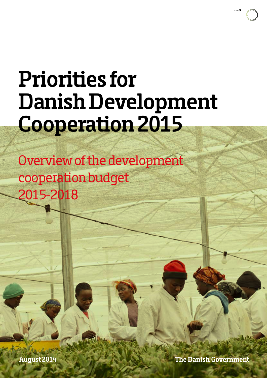

# **Priorities for Danish Development Cooperation 2015**

 Overview of the development cooperation budget 2015-2018

**The Danish Government**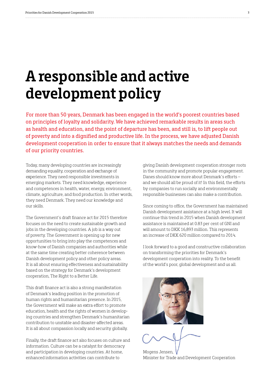### **A responsible and active development policy**

For more than 50 years, Denmark has been engaged in the world's poorest countries based on principles of loyalty and solidarity. We have achieved remarkable results in areas such as health and education, and the point of departure has been, and still is, to lift people out of poverty and into a dignified and productive life. In the process, we have adjusted Danish development cooperation in order to ensure that it always matches the needs and demands of our priority countries.

Today, many developing countries are increasingly demanding equality, cooperation and exchange of experience. They need responsible investments in emerging markets. They need knowledge, experience and competences in health, water, energy, environment, climate, agriculture, and food production. In other words, they need Denmark. They need our knowledge and our skills.

The Government's draft finance act for 2015 therefore focuses on the need to create sustainable growth and jobs in the developing countries. A job is a way out of poverty. The Government is opening up for new opportunities to bring into play the competences and know-how of Danish companies and authorities while at the same time creating better coherence between Danish development policy and other policy areas. It is all about ensuring effectiveness and sustainability based on the strategy for Denmark's development cooperation, The Right to a Better Life.

This draft finance act is also a strong manifestation of Denmark's leading position in the promotion of human rights and humanitarian presence. In 2015, the Government will make an extra effort to promote education, health and the rights of women in developing countries and strengthen Denmark's humanitarian contribution to unstable and disaster-affected areas. It is all about compassion locally and security globally.

Finally, the draft finance act also focuses on culture and information. Culture can be a catalyst for democracy and participation in developing countries. At home, enhanced information activities can contribute to

giving Danish development cooperation stronger roots in the community and promote popular engagement. Danes should know more about Denmark's efforts – and we should all be proud of it! In this field, the efforts by companies to run socially and environmentally responsible businesses can also make a contribution.

Since coming to office, the Government has maintained Danish development assistance at a high level. It will continue this trend in 2015 when Danish development assistance is maintained at 0.83 per cent of GNI and will amount to DKK 16,893 million. This represents an increase of DKK 620 million compared to 2014.

I look forward to a good and constructive collaboration on transforming the priorities for Denmark's development cooperation into reality. To the benefit of the world's poor, global development and us all.



Mogens Jensen, Minister for Trade and Development Cooperation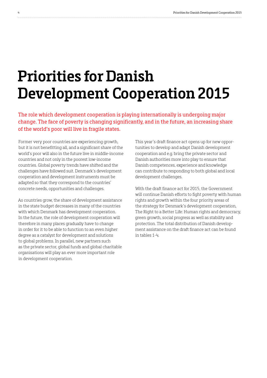# **Priorities for Danish Development Cooperation 2015**

The role which development cooperation is playing internationally is undergoing major change. The face of poverty is changing significantly, and in the future, an increasing share of the world's poor will live in fragile states.

Former very poor countries are experiencing growth, but it is not benefitting all, and a significant share of the world's poor will also in the future live in middle-income countries and not only in the poorest low-income countries. Global poverty trends have shifted and the challenges have followed suit. Denmark's development cooperation and development instruments must be adapted so that they correspond to the countries' concrete needs, opportunities and challenges.

As countries grow, the share of development assistance in the state budget decreases in many of the countries with which Denmark has development cooperation. In the future, the role of development cooperation will therefore in many places gradually have to change in order for it to be able to function to an even higher degree as a catalyst for development and solutions to global problems. In parallel, new partners such as the private sector, global funds and global charitable organisations will play an ever more important role in development cooperation.

This year's draft finance act opens up for new opportunities to develop and adapt Danish development cooperation and e.g. bring the private sector and Danish authorities more into play to ensure that Danish competences, experience and knowledge can contribute to responding to both global and local development challenges.

With the draft finance act for 2015, the Government will continue Danish efforts to fight poverty with human rights and growth within the four priority areas of the strategy for Denmark's development cooperation, The Right to a Better Life: Human rights and democracy, green growth, social progress as well as stability and protection. The total distribution of Danish development assistance on the draft finance act can be found in tables 1-4.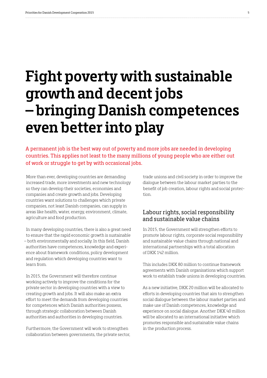## **Fight poverty with sustainable growth and decent jobs – bringing Danish competences even better into play**

A permanent job is the best way out of poverty and more jobs are needed in developing countries. This applies not least to the many millions of young people who are either out of work or struggle to get by with occasional jobs.

More than ever, developing countries are demanding increased trade, more investments and new technology so they can develop their societies, economies and companies and create growth and jobs. Developing countries want solutions to challenges which private companies, not least Danish companies, can supply in areas like health, water, energy, environment, climate, agriculture and food production.

In many developing countries, there is also a great need to ensure that the rapid economic growth is sustainable – both environmentally and socially. In this field, Danish authorities have competences, knowledge and experience about framework conditions, policy development and regulation which developing countries want to learn from.

In 2015, the Government will therefore continue working actively to improve the conditions for the private sector in developing countries with a view to creating growth and jobs. It will also make an extra effort to meet the demands from developing countries for competences which Danish authorities possess, through strategic collaboration between Danish authorities and authorities in developing countries.

Furthermore, the Government will work to strengthen collaboration between governments, the private sector,

trade unions and civil society in order to improve the dialogue between the labour market parties to the benefit of job creation, labour rights and social protection.

#### Labour rights, social responsibility and sustainable value chains

In 2015, the Government will strengthen efforts to promote labour rights, corporate social responsibility and sustainable value chains through national and international partnerships with a total allocation of DKK 142 million.

This includes DKK 80 million to continue framework agreements with Danish organisations which support work to establish trade unions in developing countries.

As a new initiative, DKK 20 million will be allocated to efforts in developing countries that aim to strengthen social dialogue between the labour market parties and make use of Danish competences, knowledge and experience on social dialogue. Another DKK 40 million will be allocated to an international initiative which promotes responsible and sustainable value chains in the production process.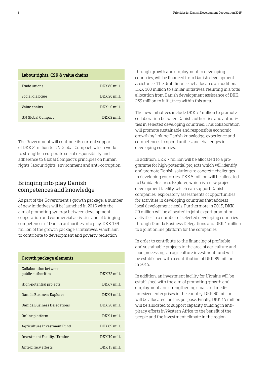| Labour rights, CSR & value chains |                |
|-----------------------------------|----------------|
| Trade unions                      | DKK80 mill.    |
| Social dialoque                   | $DKK 20$ mill. |
| Value chains                      | $DKK 40$ mill. |
| UN Global Compact                 | $DKK 2$ mill.  |

The Government will continue its current support of DKK 2 million to UN Global Compact, which works to strengthen corporate social responsibility and adherence to Global Compact's principles on human rights, labour rights, environment and anti-corruption.

#### Bringing into play Danish competences and knowledge

**Growth package elements**

As part of the Government's growth package, a number of new initiatives will be launched in 2015 with the aim of promoting synergy between development cooperation and commercial activities and of bringing competences of Danish authorities into play. DKK 139 million of the growth package's initiatives, which aim to contribute to development and poverty reduction

| ulowul package elements                     |                |
|---------------------------------------------|----------------|
| Collaboration between<br>public authorities | $DKK 72$ mill. |
| High-potential projects                     | DKK7 mill.     |
| Danida Business Explorer                    | DKK 5 mill.    |
| Danida Business Delegations                 | $DKK 20$ mill. |
| Online platform                             | DKK1 mill.     |
| Agriculture Investment Fund                 | DKK89 mill.    |
| Investment Facility, Ukraine                | DKK 30 mill.   |
| Anti-piracy efforts                         | DKK15 mill.    |

through growth and employment in developing countries, will be financed from Danish development assistance. The draft finance act allocates an additional DKK 100 million to similar initiatives, resulting in a total allocation from Danish development assistance of DKK 239 million to initiatives within this area.

The new initiatives include DKK 72 million to promote collaboration between Danish authorities and authorities in selected developing countries. This collaboration will promote sustainable and responsible economic growth by linking Danish knowledge, experience and competences to opportunities and challenges in developing countries.

In addition, DKK 7 million will be allocated to a programme for high-potential projects which will identify and promote Danish solutions to concrete challenges in developing countries. DKK 5 million will be allocated to Danida Business Explorer, which is a new project development facility, which can support Danish companies' exploratory assessments of opportunities for activities in developing countries that address local development needs. Furthermore in 2015, DKK 20 million will be allocated to joint export promotion activities in a number of selected developing countries through Danida Business Delegations and DKK 1 million to a joint online platform for the companies.

In order to contribute to the financing of profitable and sustainable projects in the area of agriculture and food processing, an agriculture investment fund will be established with a contribution of DKK 89 million in 2015.

In addition, an investment facility for Ukraine will be established with the aim of promoting growth and employment and strengthening small and medium-sized enterprises in the country. DKK 30 million will be allocated for this purpose. Finally, DKK 15 million will be allocated to support capacity building in antipiracy efforts in Western Africa to the benefit of the people and the investment climate in the region.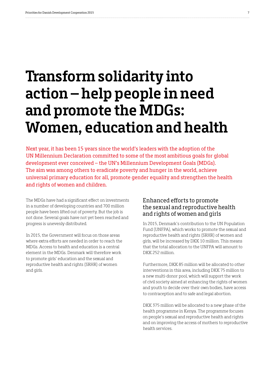# **Transform solidarity into action – help people in need and promote the MDGs: Women, education and health**

Next year, it has been 15 years since the world's leaders with the adoption of the UN Millennium Declaration committed to some of the most ambitious goals for global development ever conceived – the UN's Millennium Development Goals (MDGs). The aim was among others to eradicate poverty and hunger in the world, achieve universal primary education for all, promote gender equality and strengthen the health and rights of women and children.

The MDGs have had a significant effect on investments in a number of developing countries and 700 million people have been lifted out of poverty. But the job is not done. Several goals have not yet been reached and progress is unevenly distributed.

In 2015, the Government will focus on those areas where extra efforts are needed in order to reach the MDGs. Access to health and education is a central element in the MDGs. Denmark will therefore work to promote girls' education and the sexual and reproductive health and rights (SRHR) of women and girls.

#### Enhanced efforts to promote the sexual and reproductive health and rights of women and girls

In 2015, Denmark's contribution to the UN Population Fund (UNFPA), which works to promote the sexual and reproductive health and rights (SRHR) of women and girls, will be increased by DKK 10 million. This means that the total allocation to the UNFPA will amount to DKK 252 million.

Furthermore, DKK 85 million will be allocated to other interventions in this area, including DKK 75 million to a new multi-donor pool, which will support the work of civil society aimed at enhancing the rights of women and youth to decide over their own bodies, have access to contraception and to safe and legal abortion.

DKK 375 million will be allocated to a new phase of the health programme in Kenya. The programme focuses on people's sexual and reproductive health and rights and on improving the access of mothers to reproductive health services.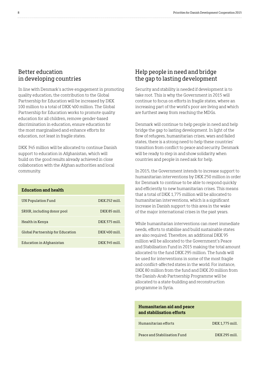#### Better education in developing countries

In line with Denmark's active engagement in promoting quality education, the contribution to the Global Partnership for Education will be increased by DKK 100 million to a total of DKK 400 million. The Global Partnership for Education works to promote quality education for all children, remove gender-based discrimination in education, ensure education for the most marginalised and enhance efforts for education, not least in fragile states.

DKK 345 million will be allocated to continue Danish support to education in Afghanistan, which will build on the good results already achieved in close collaboration with the Afghan authorities and local community.

| <b>Education and health</b>      |                 |
|----------------------------------|-----------------|
| UN Population Fund               | DKK 252 mill.   |
| SRHR, including donor pool       | $DKK 85$ mill.  |
| Health in Kenya                  | DKK 375 mill.   |
| Global Partnership for Education | $DKK 400$ mill. |
| Education in Afghanistan         | DKK 345 mill.   |

#### Help people in need and bridge the gap to lasting development

Security and stability is needed if development is to take root. This is why the Government in 2015 will continue to focus on efforts in fragile states, where an increasing part of the world's poor are living and which are furthest away from reaching the MDGs.

Denmark will continue to help people in need and help bridge the gap to lasting development. In light of the flow of refugees, humanitarian crises, wars and failed states, there is a strong need to help these countries' transition from conflict to peace and security. Denmark will be ready to step in and show solidarity when countries and people in need ask for help.

In 2015, the Government intends to increase support to humanitarian interventions by DKK 250 million in order for Denmark to continue to be able to respond quickly and efficiently to new humanitarian crises. This means that a total of DKK 1,775 million will be allocated to humanitarian interventions, which is a significant increase in Danish support to this area in the wake of the major international crises in the past years.

While humanitarian interventions can meet immediate needs, efforts to stabilise and build sustainable states are also required. Therefore, an additional DKK 95 million will be allocated to the Government's Peace and Stabilisation Fund in 2015 making the total amount allocated to the fund DKK 295 million. The funds will be used for interventions in some of the most fragile and conflict-affected states in the world. For instance, DKK 80 million from the fund and DKK 20 million from the Danish-Arab Partnership Programme will be allocated to a state-building and reconstruction programme in Syria.

### **Humanitarian aid and peace and stabilisation efforts** Humanitarian efforts DKK 1,775 mill. Peace and Stabilisation Fund DKK 295 mill.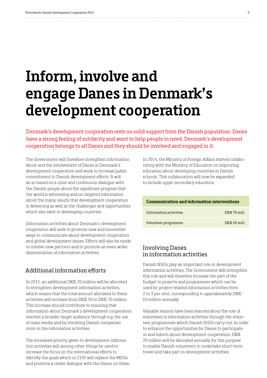### **Inform, involve and engage Danes in Denmark's development cooperation**

Denmark's development cooperation rests on solid support from the Danish population. Danes have a strong feeling of solidarity and want to help people in need. Denmark's development cooperation belongs to all Danes and they should be involved and engaged in it.

The Government will therefore strengthen information about and the involvement of Danes in Denmark's development cooperation and work to increase public commitment to Danish development efforts. It will do so based on a close and continuous dialogue with the Danish people about the significant progress that the world is witnessing and on targeted information about the many results that development cooperation is delivering as well as the challenges and opportunities which also exist in developing countries.

Information activities about Denmark's development cooperation will seek to promote new and innovative ways to communicate about development cooperation and global development issues. Efforts will also be made to involve new partners and to promote an even wider dissemination of information activities.

#### Additional information efforts

In 2015, an additional DKK 20 million will be allocated to strengthen development information activities, which means that the total amount allocated to these activities will increase from DKK 50 to DKK 70 million. This increase should contribute to ensuring that information about Denmark's development cooperation reaches a broader target audience through e.g. the use of mass media and by involving Danish companies more in the information activities.

The increased priority given to development information activities will among other things be used to increase the focus on the international efforts to identify the goals which in 2105 will replace the MDGs and promote a closer dialogue with the Danes on these.

In 2014, the Ministry of Foreign Affairs started collaborating with the Ministry of Education on improving education about developing countries in Danish schools. This collaboration will now be expanded to include upper secondary education.

| Communication and information interventions |                |  |  |  |
|---------------------------------------------|----------------|--|--|--|
| Information activities                      | $DKK 70$ mill. |  |  |  |
| Volunteer programme                         | DKK 20 mill.   |  |  |  |

#### Involving Danes in information activities

Danish NGOs play an important role in development information activities. The Government will strengthen this role and will therefore increase the part of the budget in projects and programmes which can be used for project-related information activities from 2 to 3 per cent, corresponding to approximately DKK 10 million annually.

Valuable lessons have been learned about the role of volunteers in information activities through the volunteer programmes which Danish NGOs carry out. In order to enhance the opportunities for Danes to participate in and inform about development cooperation, DKK 20 million will be allocated annually for this purpose to enable Danish volunteers to undertake short-term travel and take part in development activities.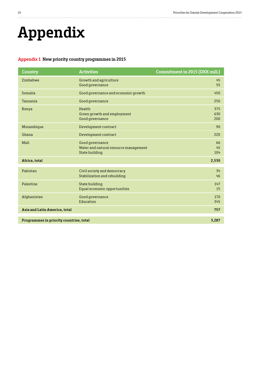# **Appendix**

#### **Appendix 1 New priority country programmes in 2015**

| Country                                 | <b>Activities</b>                                                          | <b>Commitment in 2015 (DKK mill.)</b> |
|-----------------------------------------|----------------------------------------------------------------------------|---------------------------------------|
| Zimbabwe                                | Growth and agriculture<br>Good governance                                  | 45<br>55                              |
| Somalia                                 | Good governance and economic growth                                        | 450                                   |
| Tanzania                                | Good governance                                                            | 250                                   |
| Kenya                                   | Health<br>Green growth and employment<br>Good governance                   | 375<br>630<br>200                     |
| Mozambique                              | Development contract                                                       | 90                                    |
| Ghana                                   | Development contract                                                       | 220                                   |
| Mali                                    | Good governance<br>Water and natural resource management<br>State building | 66<br>45<br>104                       |
| Africa, total                           |                                                                            | 2,530                                 |
| Pakistan                                | Civil society and democracy<br>Stabilization and rebuilding                | 34<br>46                              |
| Palestine                               | State building<br>Equal economic opportunities                             | 147<br>15                             |
| Afghanistan                             | Good governance<br>Education                                               | 170<br>345                            |
| Asia and Latin America, total           |                                                                            | 757                                   |
| Programmes in priority countries, total |                                                                            | 3,287                                 |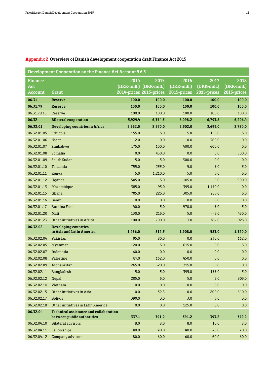| Development Cooperation on the Finance Act Account § 6.3 |                                                                      |         |                         |             |             |             |
|----------------------------------------------------------|----------------------------------------------------------------------|---------|-------------------------|-------------|-------------|-------------|
| <b>Finance</b>                                           |                                                                      | 2014    | 2015                    | 2016        | 2017        | 2018        |
| Act                                                      |                                                                      |         | (DKK-mill.) (DKK-mill.) | (DKK-mill.) | (DKK-mill.) | (DKK-mill.) |
| <b>Account</b>                                           | <b>Grant</b>                                                         |         | 2014-prices 2015-prices | 2015-prices | 2015-prices | 2015-prices |
| 06.31                                                    | <b>Reserve</b>                                                       | 100.0   | 100.0                   | 100.0       | 100.0       | 100.0       |
| 06.31.79                                                 | <b>Reserve</b>                                                       | 100.0   | 100.0                   | 100.0       | 100.0       | 100.0       |
| 06.31.79.10                                              | Reserve                                                              | 100.0   | 100.0                   | 100.0       | 100.0       | 100.0       |
| 06.32                                                    | <b>Bilateral cooperation</b>                                         | 5,929.4 | 6,354.3                 | 6,098.2     | 6,793.8     | 6,206.4     |
| 06.32.01                                                 | Developing countries in Africa                                       | 2,962.0 | 2,970.0                 | 2,502.0     | 3,699.0     | 2,780.0     |
| 06.32.01.05                                              | Ethiopia                                                             | 155.0   | 5.0                     | 5.0         | 155.0       | 5.0         |
| 06.32.01.06                                              | Niger                                                                | 2.0     | 0.0                     | 0.0         | 360.0       | 0.0         |
| 06.32.01.07                                              | Zimbabwe                                                             | 175.0   | 100.0                   | 400.0       | 600.0       | 0.0         |
| 06.32.01.08                                              | Somalia                                                              | 0.0     | 450.0                   | 0.0         | 0.0         | 500.0       |
| 06.32.01.09                                              | South Sudan                                                          | 5.0     | 5.0                     | 300.0       | 0.0         | 0.0         |
| 06.32.01.10                                              | Tanzania                                                             | 755.0   | 255.0                   | 5.0         | 5.0         | 5.0         |
| 06.32.01.11                                              | Kenya                                                                | 5.0     | 1,210.0                 | 5.0         | 5.0         | 5.0         |
| 06.32.01.12                                              | Uganda                                                               | 505.0   | 5.0                     | 105.0       | 5.0         | 900.0       |
| 06.32.01.13                                              | Mozambique                                                           | 385.0   | 95.0                    | 395.0       | 1,150.0     | 0.0         |
| 06.32.01.15                                              | Ghana                                                                | 705.0   | 225.0                   | 305.0       | 205.0       | 5.0         |
| 06.32.01.16                                              | <b>Benin</b>                                                         | 0.0     | 0.0                     | 0.0         | 0.0         | 0.0         |
| 06.32.01.17                                              | <b>Burkina Faso</b>                                                  | 40.0    | 5.0                     | 970.0       | 5.0         | 5.0         |
| 06.32.01.20                                              | Mali                                                                 | 130.0   | 215.0                   | 5.0         | 445.0       | 430.0       |
| 06.32.01.23                                              | Other initiatives in Africa                                          | 100.0   | 400.0                   | 7.0         | 764.0       | 925.0       |
| 06.32.02                                                 | <b>Developing countries</b>                                          |         |                         |             |             |             |
|                                                          | in Asia and Latin America                                            | 1,236.0 | 812.5                   | 1,908.0     | 583.0       | 1,320.0     |
| 06.32.02.04                                              | Pakistan                                                             | 95.0    | 80.0                    | 0.0         | 230.0       | 162.0       |
| 06.32.02.05                                              | Myanmar                                                              | 120.0   | 5.0                     | 615.0       | 5.0         | 5.0         |
| 06.32.02.07                                              | Indonesia                                                            | 60.0    | 0.0                     | 0.0         | 0.0         | 0.0         |
| 06.32.02.08                                              | Palestine                                                            | 87.0    | 162.0                   | 450.0       | 0.0         | 0.0         |
| 06.32.02.09                                              | Afghanistan                                                          | 265.0   | 520.0                   | 315.0       | 5.0         | 0.0         |
| 06.32.02.11                                              | Bangladesh                                                           | 5.0     | 5.0                     | 395.0       | 135.0       | 5.0         |
| 06.32.02.12                                              | Nepal                                                                | 205.0   | 5.0                     | 5.0         | 5.0         | 505.0       |
| 06.32.02.14                                              | Vietnam                                                              | 0.0     | 0.0                     | 0.0         | 0.0         | 0.0         |
| 06.32.02.15                                              | Other initiatives in Asia                                            | 0.0     | 32.5                    | 0.0         | 200.0       | 640.0       |
| 06.32.02.17                                              | <b>Bolivia</b>                                                       | 399.0   | 3.0                     | 3.0         | 3.0         | 3.0         |
| 06.32.02.18                                              | Other initiatives in Latin America                                   | 0.0     | 0.0                     | 125.0       | 0.0         | 0.0         |
| 06.32.04                                                 | Technical assistance and collaboration<br>between public authorities | 337.1   | 391.2                   | 391.2       | 393.2       | 319.2       |
| 06.32.04.10                                              | <b>Bilateral advisors</b>                                            | 8.0     | 8.0                     | 8.0         | 10.0        | 8.0         |
| 06.32.04.11                                              | Fellowships                                                          | 40.0    | 40.0                    | 40.0        | 40.0        | 40.0        |
| 06.32.04.12                                              | Company advisors                                                     | 80.0    | 60.0                    | 60.0        | 60.0        | 60.0        |

#### **Appendix 2 Overview of Danish development cooperation draft Finance Act 2015**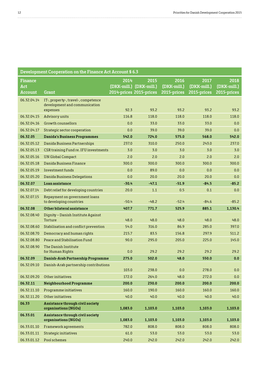. . . . . .

. . . . . . . . . . . . . . . . . . .

| Development Cooperation on the Finance Act Account § 6.3 |                                                                                  |         |                         |             |             |             |
|----------------------------------------------------------|----------------------------------------------------------------------------------|---------|-------------------------|-------------|-------------|-------------|
| <b>Finance</b>                                           |                                                                                  | 2014    | 2015                    | 2016        | 2017        | 2018        |
| Act                                                      |                                                                                  |         | (DKK-mill.) (DKK-mill.) | (DKK-mill.) | (DKK-mill.) | (DKK-mill.) |
| <b>Account</b>                                           | <b>Grant</b>                                                                     |         | 2014-prices 2015-prices | 2015-prices | 2015-prices | 2015-prices |
| 06.32.04.14                                              | IT-, property-, travel-, competence<br>development and communication<br>expenses | 92.3    | 93.2                    | 93.2        | 93.2        | 93.2        |
| 06.32.04.15                                              | Advisory units                                                                   | 116.8   | 118.0                   | 118.0       | 118.0       | 118.0       |
| 06.32.04.16                                              | Growth counsellors                                                               | 0.0     | 33.0                    | 33.0        | 33.0        | 0.0         |
| 06.32.04.17                                              | Strategic sector cooperation                                                     | 0.0     | 39.0                    | 39.0        | 39.0        | 0.0         |
| 06.32.05                                                 | <b>Danida's Business Programmes</b>                                              | 542.0   | 724.0                   | 575.0       | 568.0       | 542.0       |
| 06.32.05.12                                              | Danida Business Partnerships                                                     | 237.0   | 310.0                   | 250.0       | 243.0       | 237.0       |
| 06.32.05.13                                              | CSR training Fund re. IFU investments                                            | 3.0     | 3.0                     | 3.0         | 3.0         | 3.0         |
| 06.32.05.16                                              | <b>UN Global Compact</b>                                                         | 2.0     | 2.0                     | 2.0         | 2.0         | 2.0         |
| 06.32.05.18                                              | Danida Business Finance                                                          | 300.0   | 300.0                   | 300.0       | 300.0       | 300.0       |
| 06.32.05.19                                              | Investment funds                                                                 | 0.0     | 89.0                    | 0.0         | 0.0         | 0.0         |
| 06.32.05.20                                              | Danida Business Delegations                                                      | 0.0     | 20.0                    | 20.0        | 20.0        | 0.0         |
| 06.32.07                                                 | Loan assistance                                                                  | $-30.4$ | $-47.1$                 | $-51.9$     | $-84.5$     | $-85.2$     |
| 06.32.07.14                                              | Debt relief for developing countries                                             | 20.0    | 1.1                     | 0.5         | 0.1         | 0.0         |
| 06.32.07.15                                              | Repayment on government loans<br>to developing countries                         | $-50.4$ | $-48.2$                 | $-52.4$     | $-84.6$     | $-85.2$     |
| 06.32.08                                                 | Other bilateral assistance                                                       | 407.7   | 771.7                   | 525.9       | 885.1       | 1,130.4     |
| 06.32.08.40                                              | Dignity - Danish Institute Against<br>Torture                                    | 48.0    | 48.0                    | 48.0        | 48.0        | 48.0        |
| 06.32.08.60                                              | Stabilisation and conflict prevention                                            | 54.0    | 316.0                   | 86.9        | 285.0       | 397.0       |
| 06.32.08.70                                              | Democracy and human rights                                                       | 215.7   | 83.5                    | 156.8       | 297.9       | 511.2       |
| 06.32.08.80                                              | Peace and Stabilisation Fund                                                     | 90.0    | 295.0                   | 205.0       | 225.0       | 145.0       |
| 06.32.08.90                                              | The Danish Institute<br>for Human Rights                                         | 0.0     | 29.2                    | 29.2        | 29.2        | 29.2        |
| 06.32.09                                                 | Danish-Arab Partnership Programme                                                | 275.0   | 502.0                   | 48.0        | 550.0       | 0.0         |
| 06.32.09.10                                              | Danish-Arab partnership contributions                                            | 103.0   | 238.0                   | 0.0         | 278.0       | 0.0         |
| 06.32.09.20                                              | Other initiatives                                                                | 172.0   | 264.0                   | 48.0        | 272.0       | 0.0         |
| 06.32.11                                                 | Neighbourhood Programme                                                          | 200.0   | 230.0                   | 200.0       | 200.0       | 200.0       |
| 06.32.11.10                                              | Programme initiatives                                                            | 160.0   | 190.0                   | 160.0       | 160.0       | 160.0       |
| 06.32.11.20                                              | Other initiatives                                                                | 40.0    | 40.0                    | 40.0        | 40.0        | 40.0        |
| 06.33                                                    | Assistance through civil society                                                 |         |                         |             |             |             |
|                                                          | organisations (NGOs)                                                             | 1,083.0 | 1,103.0                 | 1,103.0     | 1,103.0     | 1,103.0     |
| 06.33.01                                                 | Assistance through civil society<br>organisations (NGOs)                         | 1,083.0 | 1,103.0                 | 1,103.0     | 1,103.0     | 1,103.0     |
| 06.33.01.10                                              | Framework agreements                                                             | 782.0   | 808.0                   | 808.0       | 808.0       | 808.0       |
| 06.33.01.11                                              | Strategic initiatives                                                            | 61.0    | 53.0                    | 53.0        | 53.0        | 53.0        |
| 06.33.01.12                                              | Pool schemes                                                                     | 240.0   | 242.0                   | 242.0       | 242.0       | 242.0       |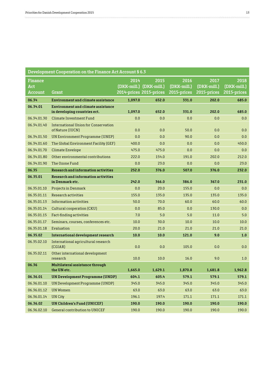. . . . . . . .

| Development Cooperation on the Finance Act Account § 6.3 |                                                                           |         |                                                            |                                    |                                    |                                    |
|----------------------------------------------------------|---------------------------------------------------------------------------|---------|------------------------------------------------------------|------------------------------------|------------------------------------|------------------------------------|
| <b>Finance</b><br>Act<br><b>Account</b>                  | Grant                                                                     | 2014    | 2015<br>(DKK-mill.) (DKK-mill.)<br>2014-prices 2015-prices | 2016<br>(DKK-mill.)<br>2015-prices | 2017<br>(DKK-mill.)<br>2015-prices | 2018<br>(DKK-mill.)<br>2015-prices |
| 06.34                                                    | <b>Environment and climate assistance</b>                                 | 1,097.0 | 652.0                                                      | 331.0                              | 202.0                              | 685.0                              |
| 06.34.01                                                 | <b>Environment and climate assistance</b><br>in developing countries ect. | 1,097.0 | 652.0                                                      | 331.0                              | 202.0                              | 685.0                              |
| 06.34.01.30                                              | Climate Investment Fund                                                   | 0.0     | 0.0                                                        | 0.0                                | 0.0                                | 0.0                                |
| 06.34.01.40                                              | International Union for Conservation<br>of Nature (IUCN)                  | 0.0     | 0.0                                                        | 50.0                               | 0.0                                | 0.0                                |
| 06.34.01.50                                              | UN Environment Programme (UNEP)                                           | 0.0     | 0.0                                                        | 90.0                               | 0.0                                | 0.0                                |
| 06.34.01.60                                              | The Global Environment Facility (GEF)                                     | 400.0   | 0.0                                                        | 0.0                                | 0.0                                | 450.0                              |
| 06.34.01.70                                              | <b>Climate Envelope</b>                                                   | 475.0   | 475.0                                                      | 0.0                                | 0.0                                | 0.0                                |
| 06.34.01.80                                              | Other environmental contributions                                         | 222.0   | 154.0                                                      | 191.0                              | 202.0                              | 212.0                              |
| 06.34.01.90                                              | The Ozone Fund                                                            | 0.0     | 23.0                                                       | 0.0                                | 0.0                                | 23.0                               |
| 06.35                                                    | <b>Research and information activities</b>                                | 252.0   | 376.0                                                      | 507.0                              | 376.0                              | 232.0                              |
| 06.35.01                                                 | <b>Research and information activities</b><br>in Denmark etc.             | 242.0   | 366.0                                                      | 386.0                              | 367.0                              | 231.0                              |
| 06.35.01.10                                              | <b>Projects in Denmark</b>                                                | 0.0     | 20.0                                                       | 155.0                              | 0.0                                | 0.0                                |
| 06.35.01.11                                              | Research activities                                                       | 155.0   | 135.0                                                      | 135.0                              | 135.0                              | 135.0                              |
| 06.35.01.13                                              | Information activities                                                    | 50.0    | 70.0                                                       | 60.0                               | 60.0                               | 60.0                               |
| 06.35.01.14                                              | Cultural cooperation (CKU)                                                | 0.0     | 85.0                                                       | 0.0                                | 130.0                              | 0.0                                |
| 06.35.01.15                                              | Fact-finding activities                                                   | 7.0     | 5.0                                                        | 5.0                                | 11.0                               | 5.0                                |
| 06.35.01.17                                              | Seminars, courses, conferences etc.                                       | 10.0    | 30.0                                                       | 10.0                               | 10.0                               | 10.0                               |
| 06.35.01.18                                              | Evaluation                                                                | 20.0    | 21.0                                                       | 21.0                               | 21.0                               | 21.0                               |
| 06.35.02                                                 | International development research                                        | 10.0    | 10.0                                                       | 121.0                              | 9.0                                | 1.0                                |
| 06.35.02.10                                              | International agricultural research<br>(CGIAR)                            | 0.0     | 0.0                                                        | 105.0                              | 0.0                                | 0.0                                |
| 06.35.02.11                                              | Other international development<br>research                               | 10.0    | 10.0                                                       | 16.0                               | 9.0                                | 1.0                                |
| 06.36                                                    | Multilateral assistance through<br>the UN etc.                            | 1,665.0 | 1,629.1                                                    | 1,870.8                            | 1,681.8                            | 1,962.8                            |
| 06.36.01                                                 | <b>UN Development Programme (UNDP)</b>                                    | 604.1   | 605.4                                                      | 579.1                              | 579.1                              | 579.1                              |
| 06.36.01.10                                              | UN Development Programme (UNDP)                                           | 345.0   | 345.0                                                      | 345.0                              | 345.0                              | 345.0                              |
| 06.36.01.12                                              | UN Women                                                                  | 63.0    | 63.0                                                       | 63.0                               | 63.0                               | 63.0                               |
| 06.36.01.14                                              | UN City                                                                   | 196.1   | 197.4                                                      | 171.1                              | 171.1                              | 171.1                              |
| 06.36.02                                                 | UN Children's Fund (UNICEF)                                               | 190.0   | 190.0                                                      | 190.0                              | 190.0                              | 190.0                              |
| 06.36.02.10                                              | General contribution to UNICEF                                            | 190.0   | 190.0                                                      | 190.0                              | 190.0                              | 190.0                              |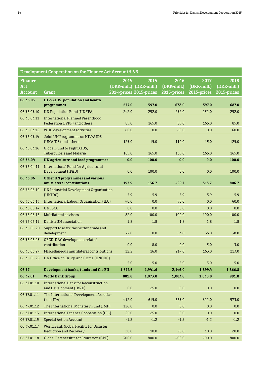. . . . . . . . . . . . . . . . . . . .

| Development Cooperation on the Finance Act Account § 6.3 |                                                                          |                                 |                                 |                                    |                                    |                                    |
|----------------------------------------------------------|--------------------------------------------------------------------------|---------------------------------|---------------------------------|------------------------------------|------------------------------------|------------------------------------|
| <b>Finance</b><br>Act<br>Account                         | Grant                                                                    | 2014<br>2014-prices 2015-prices | 2015<br>(DKK-mill.) (DKK-mill.) | 2016<br>(DKK-mill.)<br>2015-prices | 2017<br>(DKK-mill.)<br>2015-prices | 2018<br>(DKK-mill.)<br>2015-prices |
| 06.36.03                                                 | HIV/AIDS, population and health<br>programmes                            | 677.0                           | 597.0                           | 672.0                              | 597.0                              | 687.0                              |
| 06.36.03.10                                              | <b>UN Population Fund (UNFPA)</b>                                        | 242.0                           | 252.0                           | 252.0                              | 252.0                              | 252.0                              |
| 06.36.03.11                                              | International Planned Parenthood<br>Federation (IPPF) and others         | 85.0                            | 165.0                           | 85.0                               | 165.0                              | 85.0                               |
| 06.36.03.12                                              | WHO development activities                                               | 60.0                            | 0.0                             | 60.0                               | 0.0                                | 60.0                               |
| 06.36.03.14                                              | Joint UN Programme on HIV/AIDS<br>(UNAIDS) and others                    | 125.0                           | 15.0                            | 110.0                              | 15.0                               | 125.0                              |
| 06.36.03.16                                              | Global Fund to Fight AIDS,<br><b>Tuberculosis and Malaria</b>            | 165.0                           | 165.0                           | 165.0                              | 165.0                              | 165.0                              |
| 06.36.04                                                 | <b>UN</b> agriculture and food programmes                                | 0.0                             | 100.0                           | 0.0                                | 0.0                                | 100.0                              |
| 06.36.04.11                                              | International Fund for Agricultural<br>Development (IFAD)                | 0.0                             | 100.0                           | 0.0                                | 0.0                                | 100.0                              |
| 06.36.06                                                 | Other UN programmes and various<br>multilateral contributions            | 193.9                           | 136.7                           | 429.7                              | 315.7                              | 406.7                              |
| 06.36.06.10                                              | UN Industrial Development Organisation<br>(UNIDO)                        | 5.9                             | 5.9                             | 5.9                                | 5.9                                | 5.9                                |
| 06.36.06.13                                              | International Labour Organisation (ILO)                                  | 40.0                            | 0.0                             | 50.0                               | 0.0                                | 40.0                               |
| 06.36.06.14                                              | <b>UNESCO</b>                                                            | 0.0                             | 0.0                             | 0.0                                | 0.0                                | 0.0                                |
| 06.36.06.16                                              | Multilateral advisors                                                    | 82.0                            | 100.0                           | 100.0                              | 100.0                              | 100.0                              |
| 06.36.06.19                                              | Danish UN association                                                    | 1.8                             | 1.8                             | 1.8                                | 1.8                                | 1.8                                |
| 06.36.06.20                                              | Support to activities within trade and<br>development                    | 47.0                            | 0.0                             | 53.0                               | 35.0                               | 38.0                               |
| 06.36.06.23                                              | OECD-DAC development related<br>contribution                             | 0.0                             | 8.0                             | 0.0                                | 5.0                                | 3.0                                |
| 06.36.06.24                                              | Miscellaneous multilateral contributions                                 | 12.2                            | 16.0                            | 214.0                              | 163.0                              | 213.0                              |
| 06.36.06.25                                              | UN Office on Drugs and Crime (UNODC)                                     | 5.0                             | 5.0                             | 5.0                                | 5.0                                | 5.0                                |
| 06.37                                                    | Development banks, funds and the EU                                      | 1,617.6                         | 1,941.6                         | 2,146.0                            | 1,899.4                            | 1,866.8                            |
| 06.37.01                                                 | <b>World Bank Group</b>                                                  | 881.8                           | 1,073.8                         | 1,083.8                            | 1,030.8                            | 991.8                              |
| 06.37.01.10                                              | International Bank for Reconstruction<br>and Development (IBRD)          | 0.0                             | 25.0                            | 0.0                                | 0.0                                | $0.0\,$                            |
| 06.37.01.11                                              | The International Development Associa-<br>tion (IDA)                     | 412.0                           | 615.0                           | 665.0                              | 622.0                              | 573.0                              |
| 06.37.01.12                                              | The International Monetary Fund (IMF)                                    | 126.0                           | 0.0                             | 0.0                                | 0.0                                | 0.0                                |
| 06.37.01.13                                              | International Finance Cooperation (IFC)                                  | 25.0                            | 25.0                            | 0.0                                | 0.0                                | 0.0                                |
| 06.37.01.15                                              | <b>Special Action Account</b>                                            | $-1.2$                          | $-1.2$                          | $-1.2$                             | $-1.2$                             | $-1.2$                             |
| 06.37.01.17                                              | World Bank Global Facility for Disaster<br><b>Reduction and Recovery</b> | 20.0                            | 10.0                            | 20.0                               | 10.0                               | 20.0                               |
| 06.37.01.18                                              | <b>Global Partnership for Education (GPE)</b>                            | 300.0                           | 400.0                           | 400.0                              | 400.0                              | 400.0                              |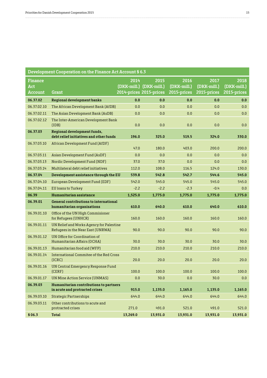$\cdots$ 

| Development Cooperation on the Finance Act Account § 6.3 |                                                                               |          |                                                            |                                    |                                    |                                    |
|----------------------------------------------------------|-------------------------------------------------------------------------------|----------|------------------------------------------------------------|------------------------------------|------------------------------------|------------------------------------|
| <b>Finance</b><br>Act<br><b>Account</b>                  | Grant                                                                         | 2014     | 2015<br>(DKK-mill.) (DKK-mill.)<br>2014-prices 2015-prices | 2016<br>(DKK-mill.)<br>2015-prices | 2017<br>(DKK-mill.)<br>2015-prices | 2018<br>(DKK-mill.)<br>2015-prices |
| 06.37.02                                                 | Regional development banks                                                    | 0.0      | 0.0                                                        | 0.0                                | 0.0                                | 0.0                                |
| 06.37.02.10                                              | The African Development Bank (AfDB)                                           | 0.0      | 0.0                                                        | 0.0                                | 0.0                                | 0.0                                |
| 06.37.02.11                                              | The Asian Development Bank (AsDB)                                             | 0.0      | 0.0                                                        | 0.0                                | 0.0                                | 0.0                                |
| 06.37.02.12                                              | The Inter-American Development Bank<br>(IDB)                                  | 0.0      | 0.0                                                        | 0.0                                | 0.0                                | 0.0                                |
| 06.37.03                                                 | Regional development funds,<br>debt relief initiatives and other funds        | 196.0    | 325.0                                                      | 519.5                              | 324.0                              | 330.0                              |
| 06.37.03.10                                              | African Development Fund (AfDF)                                               | 47.0     | 180.0                                                      | 403.0                              | 200.0                              | 200.0                              |
| 06.37.03.11                                              | Asian Development Fund (AsDF)                                                 | 0.0      | 0.0                                                        | 0.0                                | 0.0                                | 0.0                                |
| 06.37.03.13                                              | Nordic Development Fund (NDF)                                                 | 37.0     | 37.0                                                       | 0.0                                | 0.0                                | 0.0                                |
| 06.37.03.14                                              | Multilateral debt relief initiatives                                          | 112.0    | 108.0                                                      | 116.5                              | 124.0                              | 130.0                              |
| 06.37.04                                                 | Development assistance through the EU                                         | 539.8    | 542.8                                                      | 542.7                              | 544.6                              | 545.0                              |
| 06.37.04.10                                              | European Development Fund (EDF)                                               | 542.0    | 545.0                                                      | 545.0                              | 545.0                              | 545.0                              |
| 06.37.04.11                                              | <b>EU</b> loans to Turkey                                                     | $-2.2$   | $-2.2$                                                     | $-2.3$                             | $-0.4$                             | 0.0                                |
| 06.39                                                    | Humanitarian assistance                                                       | 1,525.0  | 1,775.0                                                    | 1,775.0                            | 1,775.0                            | 1,775.0                            |
| 06.39.01                                                 | <b>General contributions to international</b><br>humanitarian organisations   | 610.0    | 640.0                                                      | 610.0                              | 640.0                              | 610.0                              |
| 06.39.01.10                                              | Office of the UN High Commisioner<br>for Refugees (UNHCR)                     | 160.0    | 160.0                                                      | 160.0                              | 160.0                              | 160.0                              |
| 06.39.01.11                                              | UN Relief and Works Agency for Palestine<br>Refugees in the Near East (UNRWA) | 90.0     | 90.0                                                       | 90.0                               | 90.0                               | 90.0                               |
| 06.39.01.12                                              | UN Office for Coordination of<br>Humanitarian Affairs (OCHA)                  | 30.0     | 30.0                                                       | 30.0                               | 30.0                               | 30.0                               |
| 06.39.01.13                                              | Humanitarian food aid (WFP)                                                   | 210.0    | 210.0                                                      | 210.0                              | 210.0                              | 210.0                              |
| 06.39.01.14                                              | International Commitee of the Red Cross<br>(ICRC)                             | 20.0     | 20.0                                                       | 20.0                               | 20.0                               | 20.0                               |
| 06.39.01.16                                              | UN Central Emergency Response Fund<br>(CERF)                                  | 100.0    | 100.0                                                      | 100.0                              | 100.0                              | 100.0                              |
| 06.39.01.17                                              | <b>UN Mine Action Service (UNMAS)</b>                                         | 0.0      | 30.0                                                       | 0.0                                | 30.0                               | 0.0                                |
| 06.39.03                                                 | Humanitarian contributions to partners                                        |          |                                                            |                                    |                                    |                                    |
|                                                          | in acute and protracted crises                                                | 915.0    | 1,135.0                                                    | 1,165.0                            | 1,135.0                            | 1,165.0                            |
| 06.39.03.10                                              | <b>Strategic Partnerships</b>                                                 | 644.0    | 644.0                                                      | 644.0                              | 644.0                              | 644.0                              |
| 06.39.03.11                                              | Other contributions to acute and<br>protracted crises                         | 271.0    | 491.0                                                      | 521.0                              | 491.0                              | 521.0                              |
| § 06.3                                                   | <b>Total</b>                                                                  | 13,269.0 | 13,931.0                                                   | 13,931.0                           | 13,931.0                           | 13,931.0                           |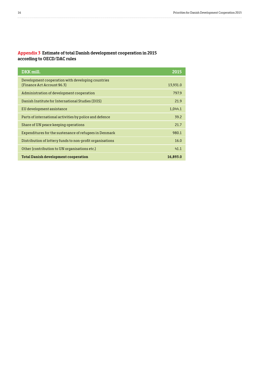. . . . . . . . . . . . . . . .

#### **Appendix 3 Estimate of total Danish development cooperation in 2015 according to OECD/DAC rules**

| DKK mill.                                                                       | 2015     |
|---------------------------------------------------------------------------------|----------|
| Development cooperation with developing countries<br>(Finance Act Account §6.3) | 13,931.0 |
| Administration of development cooperation                                       | 797.9    |
| Danish Institute for International Studies (DIIS)                               | 21.9     |
| EU development assistance                                                       | 1,044.1  |
| Parts of international activities by police and defence                         | 39.2     |
| Share of UN peace keeping operations                                            | 21.7     |
| Expenditures for the sustenance of refugees in Denmark                          | 980.1    |
| Distribution of lottery funds to non-profit organisations                       | 16.0     |
| Other (contribution to UN organisations etc.)                                   | 41.1     |
| <b>Total Danish development cooperation</b>                                     | 16,893.0 |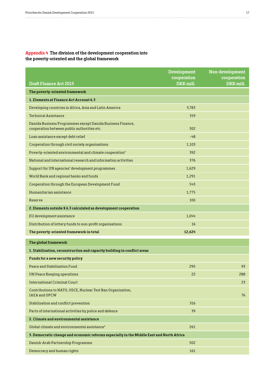#### **Appendix 4 The division of the development cooperation into the poverty-oriented and the global framework**

|                                                                                                           | <b>Development</b><br>cooperation | Non-development<br>cooperation |
|-----------------------------------------------------------------------------------------------------------|-----------------------------------|--------------------------------|
| <b>Draft Finance Act 2015</b>                                                                             | DKK mill.                         | DKK mill.                      |
| The poverty-oriented framework                                                                            |                                   |                                |
| 1. Elements at Finance Act Account 6.3                                                                    |                                   |                                |
| Developing countries in Africa, Asia and Latin America                                                    | 3,783                             |                                |
| <b>Technical Assistance</b>                                                                               | 319                               |                                |
| Danida Business Programmes except Danida Business Finance,<br>cooperation between public authorities etc. | 302                               |                                |
| Loan assistance except debt relief                                                                        | $-48$                             |                                |
| Cooperation through civil society organisations                                                           | 1,103                             |                                |
| Poverty-oriented environmental and climate cooperation*                                                   | 392                               |                                |
| National and international research and information activities                                            | 376                               |                                |
| Support for UN agencies' development programmes                                                           | 1,629                             |                                |
| World Bank and regional banks and funds                                                                   | 1,291                             |                                |
| Cooperation through the European Development Fund                                                         | 543                               |                                |
| Humanitarian assistance                                                                                   | 1,775                             |                                |
| Reserve                                                                                                   | 100                               |                                |
| 2. Elements outside § 6.3 calculated as development cooperation                                           |                                   |                                |
| EU development assistance                                                                                 | 1,044                             |                                |
| Distribution of lottery funds to non-profit organisations                                                 | 16                                |                                |
| The poverty-oriented framework in total                                                                   | 12,624                            |                                |
| The global framework                                                                                      |                                   |                                |
| 1. Stabilisation, reconstruction and capacity building in conflict areas                                  |                                   |                                |
| Funds for a new security policy                                                                           |                                   |                                |
| Peace and Stabilisation Fund                                                                              | 295                               | 93                             |
| <b>UN Peace Keeping operations</b>                                                                        | 22                                | 288                            |
| International Criminal Court                                                                              |                                   | 23                             |
| Contributions to NATO, OSCE, Nuclear Test Ban Organization,<br><b>IAEA</b> and OPCW                       |                                   | 76                             |
| Stabilisation and conflict prevention                                                                     | 316                               |                                |
| Parts of international activities by police and defence                                                   | 39                                |                                |
| 2. Climate and environmental assistance                                                                   |                                   |                                |
| Global climate and environmental assistance*                                                              | 261                               |                                |
| 3. Democratic change and economic reforms especially in the Middle East and North Africa                  |                                   |                                |
| Danish-Arab Partnership Programme                                                                         | 502                               |                                |
| Democracy and human rights                                                                                | 161                               |                                |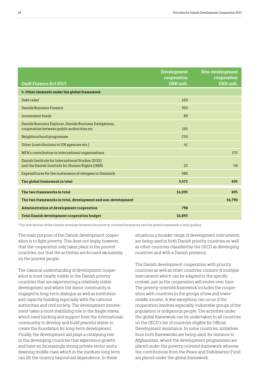| <b>Development</b><br>cooperation | Non-development<br>cooperation<br>DKK mill. |
|-----------------------------------|---------------------------------------------|
|                                   |                                             |
| 109                               |                                             |
| 300                               |                                             |
| 89                                |                                             |
| 105                               |                                             |
| 230                               |                                             |
| 41                                |                                             |
|                                   | 175                                         |
| 22                                | 40 <sup>2</sup>                             |
| 980                               |                                             |
| 3,471                             | 695                                         |
| 16,095                            | 695                                         |
|                                   | 16,790                                      |
| 798                               |                                             |
| 16,893                            |                                             |
|                                   | DKK mill.                                   |

\* The distribution of the climate envelope between the poverty-oriented framework and the global framework is only guiding

The main purpose of the Danish development cooperation is to fight poverty. This does not imply, however, that the cooperation only takes place in the poorest countries, nor that the activities are focused exclusively on the poorest people.

The classical understanding of development cooperation is most clearly visible in the Danish priority countries that are experiencing a relatively stable development and where the donor community is engaged in long-term dialogue as well as institution and capacity building especially with the national authorities and civil society. The development involvement takes a more stabilizing role in the fragile states, which need backing and support from the international community to develop and build peaceful states to create the foundation for long-term development. Finally, the development aid plays a catalysing role in the developing countries that experience growth and have an increasingly strong private sector and a dawning middle class which in the medium-long term can lift the country beyond aid dependence. In these

situations a broader range of development instruments are being used in both Danish priority countries as well as other countries classified by the OECD as developing countries and with a Danish presence.

The Danish development cooperation with priority countries as well as other countries consists of multiple instruments which can be adapted to the specific context, just as the cooperation will evolve over time. The poverty-oriented framework includes the cooperation with countries in the groups of low and lowermiddle income. A few exceptions can occur if the cooperation involves especially vulnerable groups of the population or indigenous people. The activities under the global framework can be undertaken in all countries on the OECD's list of countries eligible for Official Development Assistance. In some countries, initiatives from both frameworks are being used, for instance in Afghanistan, where the development programmes are placed under the poverty-oriented framework whereas the contributions from the Peace and Stabilisation Fund are placed under the global framework.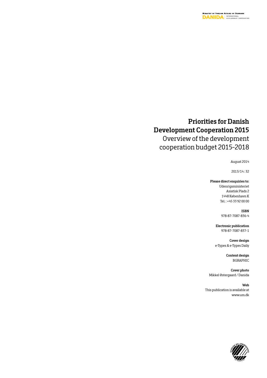### **Priorities for Danish Development Cooperation 2015**

Overview of the development cooperation budget 2015-2018

August 2014

2013/14 : 32

#### **Please direct enquiries to:**

Udenrigsministeriet Asiatisk Plads 2 1448 København K Tel. : +45 33 92 00 00

> **ISBN** 978-87-7087-836-4

**Electronic publication** 978-87-7087-837-1

**Cover design** e-Types & e-Types Daily

> **Content design** BGRAPHIC

**Cover photo** Mikkel Østergaard / Danida

**Web** This publication is available at www.um.dk